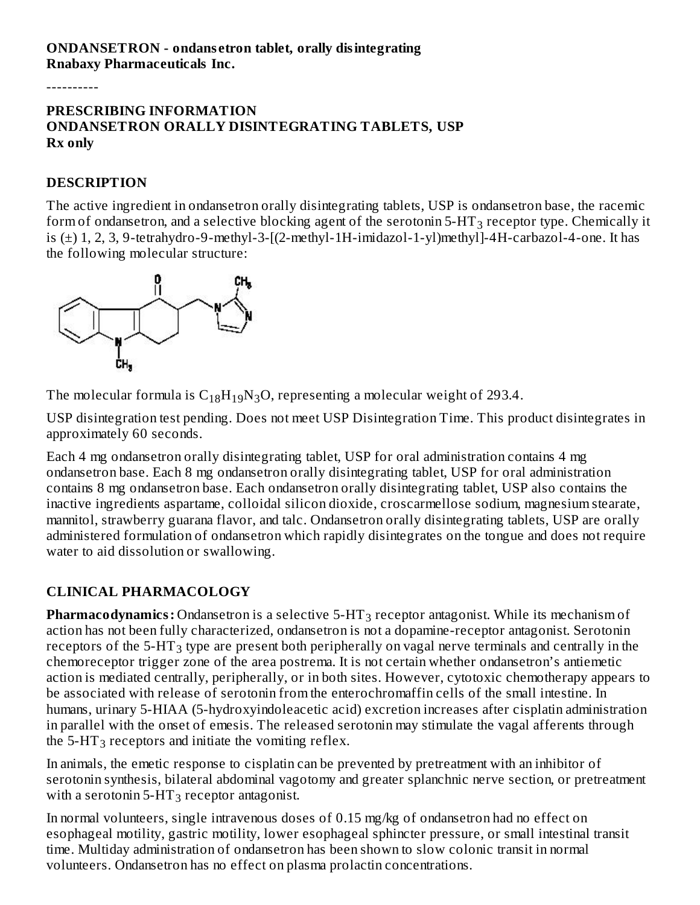#### **ONDANSETRON - ondans etron tablet, orally disintegrating Rnabaxy Pharmaceuticals Inc.**

----------

#### **PRESCRIBING INFORMATION ONDANSETRON ORALLY DISINTEGRATING TABLETS, USP Rx only**

#### **DESCRIPTION**

The active ingredient in ondansetron orally disintegrating tablets, USP is ondansetron base, the racemic form of ondansetron, and a selective blocking agent of the serotonin 5-HT $_3$  receptor type. Chemically it is (±) 1, 2, 3, 9-tetrahydro-9-methyl-3-[(2-methyl-1H-imidazol-1-yl)methyl]-4H-carbazol-4-one. It has the following molecular structure:



The molecular formula is  $C_{18}H_{19}N_3O$ , representing a molecular weight of 293.4.

USP disintegration test pending. Does not meet USP Disintegration Time. This product disintegrates in approximately 60 seconds.

Each 4 mg ondansetron orally disintegrating tablet, USP for oral administration contains 4 mg ondansetron base. Each 8 mg ondansetron orally disintegrating tablet, USP for oral administration contains 8 mg ondansetron base. Each ondansetron orally disintegrating tablet, USP also contains the inactive ingredients aspartame, colloidal silicon dioxide, croscarmellose sodium, magnesium stearate, mannitol, strawberry guarana flavor, and talc. Ondansetron orally disintegrating tablets, USP are orally administered formulation of ondansetron which rapidly disintegrates on the tongue and does not require water to aid dissolution or swallowing.

## **CLINICAL PHARMACOLOGY**

 ${\bfq}$  Pharmacodynamics: Ondansetron is a selective  ${\bf 5\text{-}HT}_3$  receptor antagonist. While its mechanism of action has not been fully characterized, ondansetron is not a dopamine-receptor antagonist. Serotonin receptors of the 5-HT<sub>3</sub> type are present both peripherally on vagal nerve terminals and centrally in the chemoreceptor trigger zone of the area postrema. It is not certain whether ondansetron's antiemetic action is mediated centrally, peripherally, or in both sites. However, cytotoxic chemotherapy appears to be associated with release of serotonin from the enterochromaffin cells of the small intestine. In humans, urinary 5-HIAA (5-hydroxyindoleacetic acid) excretion increases after cisplatin administration in parallel with the onset of emesis. The released serotonin may stimulate the vagal afferents through the 5-HT<sub>3</sub> receptors and initiate the vomiting reflex.

In animals, the emetic response to cisplatin can be prevented by pretreatment with an inhibitor of serotonin synthesis, bilateral abdominal vagotomy and greater splanchnic nerve section, or pretreatment with a serotonin 5-HT<sub>3</sub> receptor antagonist.

In normal volunteers, single intravenous doses of 0.15 mg/kg of ondansetron had no effect on esophageal motility, gastric motility, lower esophageal sphincter pressure, or small intestinal transit time. Multiday administration of ondansetron has been shown to slow colonic transit in normal volunteers. Ondansetron has no effect on plasma prolactin concentrations.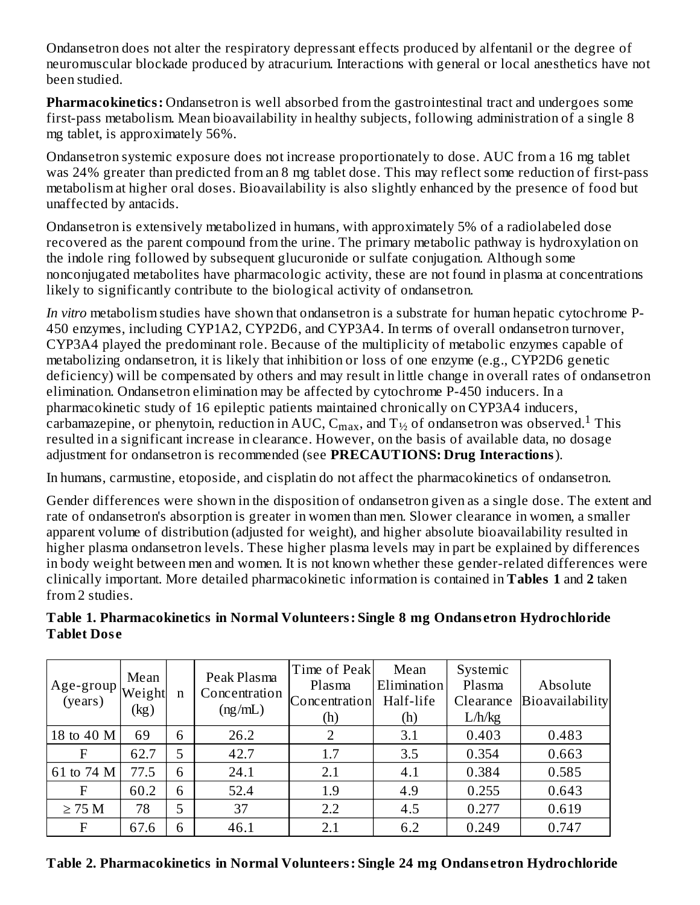Ondansetron does not alter the respiratory depressant effects produced by alfentanil or the degree of neuromuscular blockade produced by atracurium. Interactions with general or local anesthetics have not been studied.

**Pharmacokinetics:** Ondansetron is well absorbed from the gastrointestinal tract and undergoes some first-pass metabolism. Mean bioavailability in healthy subjects, following administration of a single 8 mg tablet, is approximately 56%.

Ondansetron systemic exposure does not increase proportionately to dose. AUC from a 16 mg tablet was 24% greater than predicted from an 8 mg tablet dose. This may reflect some reduction of first-pass metabolism at higher oral doses. Bioavailability is also slightly enhanced by the presence of food but unaffected by antacids.

Ondansetron is extensively metabolized in humans, with approximately 5% of a radiolabeled dose recovered as the parent compound from the urine. The primary metabolic pathway is hydroxylation on the indole ring followed by subsequent glucuronide or sulfate conjugation. Although some nonconjugated metabolites have pharmacologic activity, these are not found in plasma at concentrations likely to significantly contribute to the biological activity of ondansetron.

*In vitro* metabolism studies have shown that ondansetron is a substrate for human hepatic cytochrome P-450 enzymes, including CYP1A2, CYP2D6, and CYP3A4. In terms of overall ondansetron turnover, CYP3A4 played the predominant role. Because of the multiplicity of metabolic enzymes capable of metabolizing ondansetron, it is likely that inhibition or loss of one enzyme (e.g., CYP2D6 genetic deficiency) will be compensated by others and may result in little change in overall rates of ondansetron elimination. Ondansetron elimination may be affected by cytochrome P-450 inducers. In a pharmacokinetic study of 16 epileptic patients maintained chronically on CYP3A4 inducers, carbamazepine, or phenytoin, reduction in AUC,  $\rm{C_{max}}$ , and  $\rm{T_{1/2}}$  of ondansetron was observed. $\rm{^{1}}$  This resulted in a significant increase in clearance. However, on the basis of available data, no dosage adjustment for ondansetron is recommended (see **PRECAUTIONS: Drug Interactions**).

In humans, carmustine, etoposide, and cisplatin do not affect the pharmacokinetics of ondansetron.

Gender differences were shown in the disposition of ondansetron given as a single dose. The extent and rate of ondansetron's absorption is greater in women than men. Slower clearance in women, a smaller apparent volume of distribution (adjusted for weight), and higher absolute bioavailability resulted in higher plasma ondansetron levels. These higher plasma levels may in part be explained by differences in body weight between men and women. It is not known whether these gender-related differences were clinically important. More detailed pharmacokinetic information is contained in **Tables 1** and **2** taken from 2 studies.

| Age-group $\begin{vmatrix} x_1 & x_2 & \cdots & x_n \\ (years) & (learlygen) & (car) \end{vmatrix}$ | Mean<br>(kg) | $\mathbf n$ | Peak Plasma<br>Concentration<br>(ng/mL) | Time of Peak<br>Plasma<br>Concentration<br>(h) | Mean<br>Elimination<br>Half-life<br>(h) | Systemic<br>Plasma<br>Clearance<br>L/h/kg | Absolute<br>Bioavailability |
|-----------------------------------------------------------------------------------------------------|--------------|-------------|-----------------------------------------|------------------------------------------------|-----------------------------------------|-------------------------------------------|-----------------------------|
| 18 to 40 M                                                                                          | 69           | 6           | 26.2                                    | $\overline{2}$                                 | 3.1                                     | 0.403                                     | 0.483                       |
| F                                                                                                   | 62.7         | 5           | 42.7                                    | 1.7                                            | 3.5                                     | 0.354                                     | 0.663                       |
| 61 to 74 M                                                                                          | 77.5         | 6           | 24.1                                    | 2.1                                            | 4.1                                     | 0.384                                     | 0.585                       |
| F                                                                                                   | 60.2         | 6           | 52.4                                    | 1.9                                            | 4.9                                     | 0.255                                     | 0.643                       |
| $\geq$ 75 M                                                                                         | 78           | 5           | 37                                      | 2.2                                            | 4.5                                     | 0.277                                     | 0.619                       |
| $\mathbf{F}$                                                                                        | 67.6         | 6           | 46.1                                    | 2.1                                            | 6.2                                     | 0.249                                     | 0.747                       |

#### **Table 1. Pharmacokinetics in Normal Volunteers: Single 8 mg Ondans etron Hydrochloride Tablet Dos e**

**Table 2. Pharmacokinetics in Normal Volunteers: Single 24 mg Ondans etron Hydrochloride**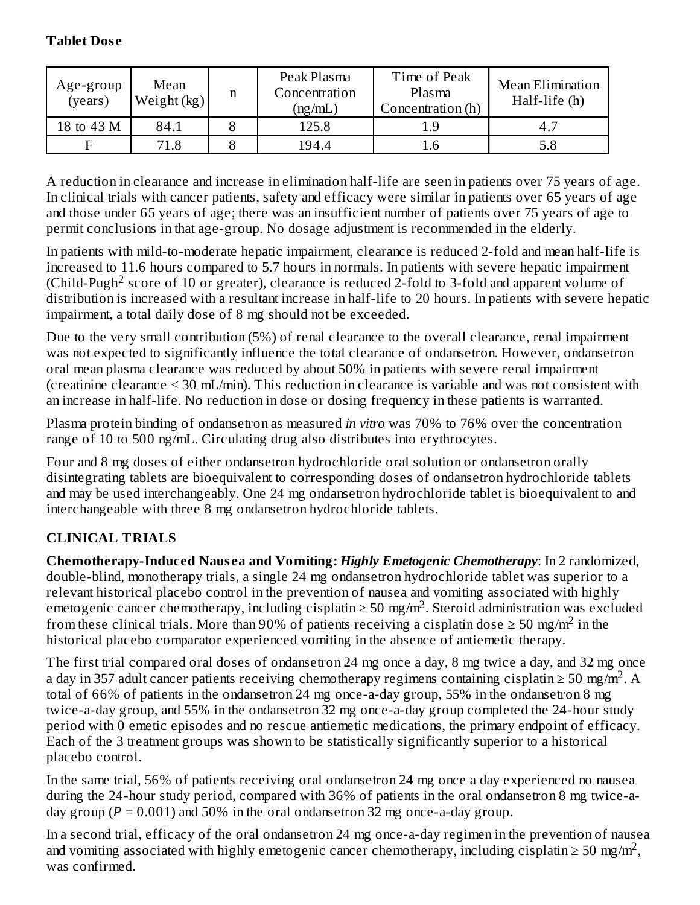#### **Tablet Dos e**

| Age-group<br>(years) | Mean<br>Weight $(kg)$ | n | Peak Plasma<br>Concentration<br>(ng/mL) | Time of Peak<br>Plasma<br>Concentration (h) | Mean Elimination<br>Half-life (h) |
|----------------------|-----------------------|---|-----------------------------------------|---------------------------------------------|-----------------------------------|
| 18 to 43 M           | 84.1                  |   | 125.8                                   | 1.9                                         | 4.7                               |
|                      | 71.8                  |   | 194.4                                   | 1.6                                         | $5.8\,$                           |

A reduction in clearance and increase in elimination half-life are seen in patients over 75 years of age. In clinical trials with cancer patients, safety and efficacy were similar in patients over 65 years of age and those under 65 years of age; there was an insufficient number of patients over 75 years of age to permit conclusions in that age-group. No dosage adjustment is recommended in the elderly.

In patients with mild-to-moderate hepatic impairment, clearance is reduced 2-fold and mean half-life is increased to 11.6 hours compared to 5.7 hours in normals. In patients with severe hepatic impairment (Child-Pugh<sup>2</sup> score of 10 or greater), clearance is reduced 2-fold to 3-fold and apparent volume of distribution is increased with a resultant increase in half-life to 20 hours. In patients with severe hepatic impairment, a total daily dose of 8 mg should not be exceeded.

Due to the very small contribution (5%) of renal clearance to the overall clearance, renal impairment was not expected to significantly influence the total clearance of ondansetron. However, ondansetron oral mean plasma clearance was reduced by about 50% in patients with severe renal impairment (creatinine clearance < 30 mL/min). This reduction in clearance is variable and was not consistent with an increase in half-life. No reduction in dose or dosing frequency in these patients is warranted.

Plasma protein binding of ondansetron as measured *in vitro* was 70% to 76% over the concentration range of 10 to 500 ng/mL. Circulating drug also distributes into erythrocytes.

Four and 8 mg doses of either ondansetron hydrochloride oral solution or ondansetron orally disintegrating tablets are bioequivalent to corresponding doses of ondansetron hydrochloride tablets and may be used interchangeably. One 24 mg ondansetron hydrochloride tablet is bioequivalent to and interchangeable with three 8 mg ondansetron hydrochloride tablets.

# **CLINICAL TRIALS**

**Chemotherapy-Induced Naus ea and Vomiting:** *Highly Emetogenic Chemotherapy*: In 2 randomized, double-blind, monotherapy trials, a single 24 mg ondansetron hydrochloride tablet was superior to a relevant historical placebo control in the prevention of nausea and vomiting associated with highly emetogenic cancer chemotherapy, including cisplatin  $\geq$  50 mg/m<sup>2</sup>. Steroid administration was excluded from these clinical trials. More than 90% of patients receiving a cisplatin dose  $\geq 50$  mg/m<sup>2</sup> in the historical placebo comparator experienced vomiting in the absence of antiemetic therapy.

The first trial compared oral doses of ondansetron 24 mg once a day, 8 mg twice a day, and 32 mg once a day in 357 adult cancer patients receiving chemotherapy regimens containing cisplatin  $\geq 50$  mg/m<sup>2</sup>. A total of 66% of patients in the ondansetron 24 mg once-a-day group, 55% in the ondansetron 8 mg twice-a-day group, and 55% in the ondansetron 32 mg once-a-day group completed the 24-hour study period with 0 emetic episodes and no rescue antiemetic medications, the primary endpoint of efficacy. Each of the 3 treatment groups was shown to be statistically significantly superior to a historical placebo control.

In the same trial, 56% of patients receiving oral ondansetron 24 mg once a day experienced no nausea during the 24-hour study period, compared with 36% of patients in the oral ondansetron 8 mg twice-aday group ( $P = 0.001$ ) and 50% in the oral ondansetron 32 mg once-a-day group.

In a second trial, efficacy of the oral ondansetron 24 mg once-a-day regimen in the prevention of nausea and vomiting associated with highly emetogenic cancer chemotherapy, including cisplatin  $\geq 50$  mg/m<sup>2</sup>, was confirmed.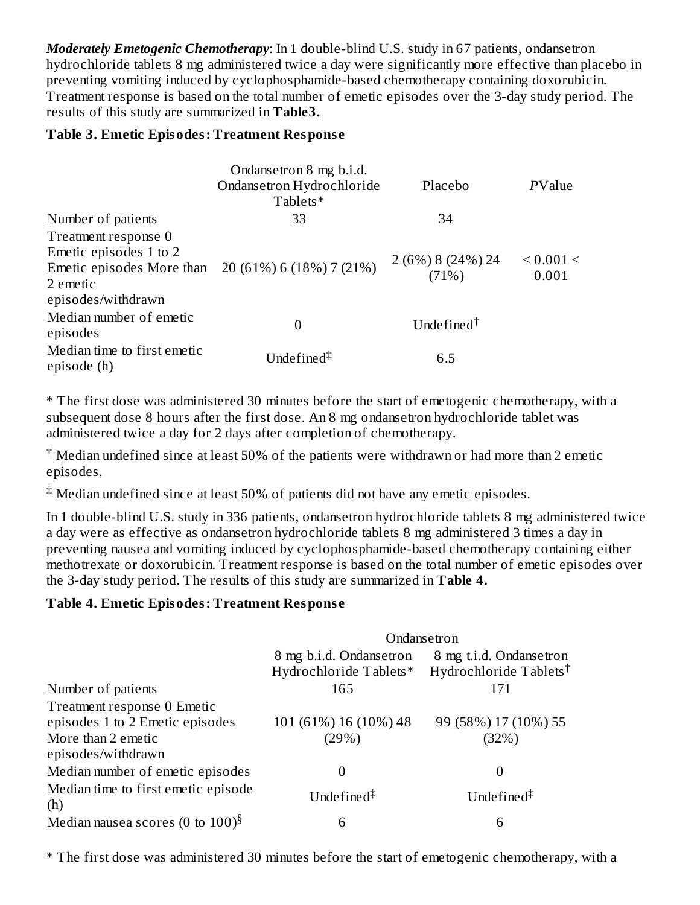*Moderately Emetogenic Chemotherapy*: In 1 double-blind U.S. study in 67 patients, ondansetron hydrochloride tablets 8 mg administered twice a day were significantly more effective than placebo in preventing vomiting induced by cyclophosphamide-based chemotherapy containing doxorubicin. Treatment response is based on the total number of emetic episodes over the 3-day study period. The results of this study are summarized in **Table3.**

#### **Table 3. Emetic Episodes: Treatment Respons e**

|                                                                                                               | Ondansetron 8 mg b.i.d.<br>Ondansetron Hydrochloride<br>Tablets* | Placebo                                   | PValue             |
|---------------------------------------------------------------------------------------------------------------|------------------------------------------------------------------|-------------------------------------------|--------------------|
| Number of patients                                                                                            | 33                                                               | 34                                        |                    |
| Treatment response 0<br>Emetic episodes 1 to 2<br>Emetic episodes More than<br>2 emetic<br>episodes/withdrawn | 20 (61%) 6 (18%) 7 (21%)                                         | $2(6%)8(24%)24$<br>(71%)                  | < 0.001 <<br>0.001 |
| Median number of emetic<br>episodes                                                                           | 0                                                                | Undefined <sup><math>\dagger</math></sup> |                    |
| Median time to first emetic<br>episode (h)                                                                    | Undefined $\ddagger$                                             | 6.5                                       |                    |

\* The first dose was administered 30 minutes before the start of emetogenic chemotherapy, with a subsequent dose 8 hours after the first dose. An 8 mg ondansetron hydrochloride tablet was administered twice a day for 2 days after completion of chemotherapy.

 $\dagger$  Median undefined since at least 50% of the patients were withdrawn or had more than 2 emetic episodes.

 $\ddagger$  Median undefined since at least 50% of patients did not have any emetic episodes.

In 1 double-blind U.S. study in 336 patients, ondansetron hydrochloride tablets 8 mg administered twice a day were as effective as ondansetron hydrochloride tablets 8 mg administered 3 times a day in preventing nausea and vomiting induced by cyclophosphamide-based chemotherapy containing either methotrexate or doxorubicin. Treatment response is based on the total number of emetic episodes over the 3-day study period. The results of this study are summarized in **Table 4.**

#### **Table 4. Emetic Episodes: Treatment Respons e**

|                                                                                                            |                                                   | Ondansetron                                                   |
|------------------------------------------------------------------------------------------------------------|---------------------------------------------------|---------------------------------------------------------------|
|                                                                                                            | 8 mg b.i.d. Ondansetron<br>Hydrochloride Tablets* | 8 mg t.i.d. Ondansetron<br>Hydrochloride Tablets <sup>†</sup> |
| Number of patients                                                                                         | 165                                               | 171                                                           |
| Treatment response 0 Emetic<br>episodes 1 to 2 Emetic episodes<br>More than 2 emetic<br>episodes/withdrawn | 101 (61%) 16 (10%) 48<br>(29%)                    | 99 (58%) 17 (10%) 55<br>(32%)                                 |
| Median number of emetic episodes                                                                           |                                                   | 0                                                             |
| Median time to first emetic episode<br>(h)                                                                 | Undefined $\ddagger$                              | Undefined <sup><math>\ddagger</math></sup>                    |
| Median nausea scores (0 to $100$ ) <sup>§</sup>                                                            | 6                                                 | 6                                                             |

\* The first dose was administered 30 minutes before the start of emetogenic chemotherapy, with a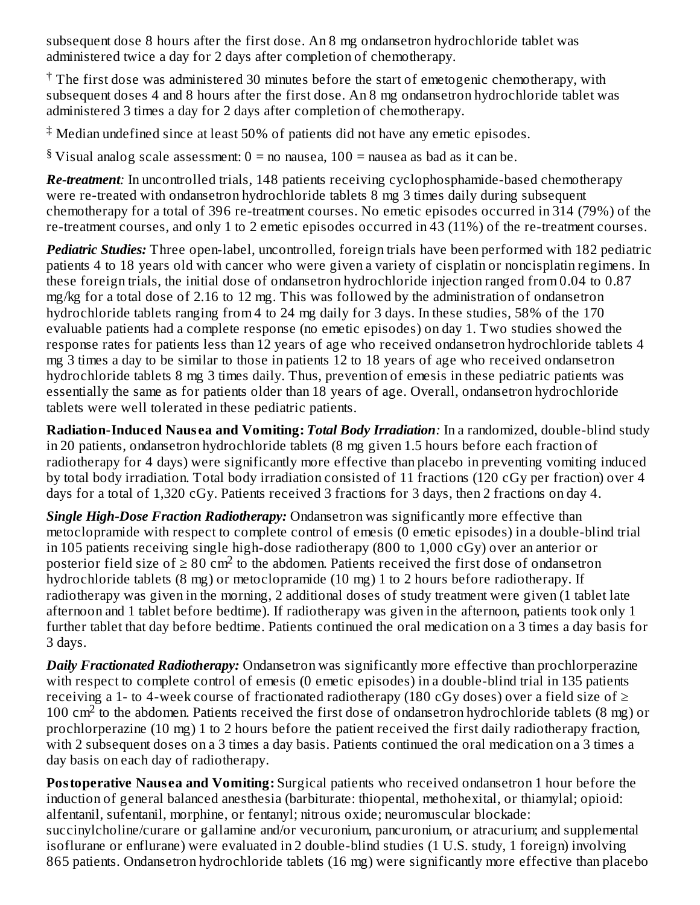subsequent dose 8 hours after the first dose. An 8 mg ondansetron hydrochloride tablet was administered twice a day for 2 days after completion of chemotherapy.

 $\dagger$  The first dose was administered 30 minutes before the start of emetogenic chemotherapy, with subsequent doses 4 and 8 hours after the first dose. An 8 mg ondansetron hydrochloride tablet was administered 3 times a day for 2 days after completion of chemotherapy.

 $\ddagger$  Median undefined since at least 50% of patients did not have any emetic episodes.

 $8$  Visual analog scale assessment:  $0 =$  no nausea,  $100 =$  nausea as bad as it can be.

*Re-treatment:* In uncontrolled trials, 148 patients receiving cyclophosphamide-based chemotherapy were re-treated with ondansetron hydrochloride tablets 8 mg 3 times daily during subsequent chemotherapy for a total of 396 re-treatment courses. No emetic episodes occurred in 314 (79%) of the re-treatment courses, and only 1 to 2 emetic episodes occurred in 43 (11%) of the re-treatment courses.

*Pediatric Studies:* Three open-label, uncontrolled, foreign trials have been performed with 182 pediatric patients 4 to 18 years old with cancer who were given a variety of cisplatin or noncisplatin regimens. In these foreign trials, the initial dose of ondansetron hydrochloride injection ranged from 0.04 to 0.87 mg/kg for a total dose of 2.16 to 12 mg. This was followed by the administration of ondansetron hydrochloride tablets ranging from 4 to 24 mg daily for 3 days. In these studies, 58% of the 170 evaluable patients had a complete response (no emetic episodes) on day 1. Two studies showed the response rates for patients less than 12 years of age who received ondansetron hydrochloride tablets 4 mg 3 times a day to be similar to those in patients 12 to 18 years of age who received ondansetron hydrochloride tablets 8 mg 3 times daily. Thus, prevention of emesis in these pediatric patients was essentially the same as for patients older than 18 years of age. Overall, ondansetron hydrochloride tablets were well tolerated in these pediatric patients.

**Radiation-Induced Naus ea and Vomiting:** *Total Body Irradiation:* In a randomized, double-blind study in 20 patients, ondansetron hydrochloride tablets (8 mg given 1.5 hours before each fraction of radiotherapy for 4 days) were significantly more effective than placebo in preventing vomiting induced by total body irradiation. Total body irradiation consisted of 11 fractions (120 cGy per fraction) over 4 days for a total of 1,320 cGy. Patients received 3 fractions for 3 days, then 2 fractions on day 4.

*Single High-Dose Fraction Radiotherapy:* Ondansetron was significantly more effective than metoclopramide with respect to complete control of emesis (0 emetic episodes) in a double-blind trial in 105 patients receiving single high-dose radiotherapy (800 to 1,000 cGy) over an anterior or posterior field size of  $\geq 80$  cm<sup>2</sup> to the abdomen. Patients received the first dose of ondansetron hydrochloride tablets (8 mg) or metoclopramide (10 mg) 1 to 2 hours before radiotherapy. If radiotherapy was given in the morning, 2 additional doses of study treatment were given (1 tablet late afternoon and 1 tablet before bedtime). If radiotherapy was given in the afternoon, patients took only 1 further tablet that day before bedtime. Patients continued the oral medication on a 3 times a day basis for 3 days.

*Daily Fractionated Radiotherapy:* Ondansetron was significantly more effective than prochlorperazine with respect to complete control of emesis (0 emetic episodes) in a double-blind trial in 135 patients receiving a 1- to 4-week course of fractionated radiotherapy (180 cGy doses) over a field size of  $\geq$ 100  $\text{cm}^2$  to the abdomen. Patients received the first dose of ondansetron hydrochloride tablets (8 mg) or prochlorperazine (10 mg) 1 to 2 hours before the patient received the first daily radiotherapy fraction, with 2 subsequent doses on a 3 times a day basis. Patients continued the oral medication on a 3 times a day basis on each day of radiotherapy.

**Postoperative Nausea and Vomiting:** Surgical patients who received ondansetron 1 hour before the induction of general balanced anesthesia (barbiturate: thiopental, methohexital, or thiamylal; opioid: alfentanil, sufentanil, morphine, or fentanyl; nitrous oxide; neuromuscular blockade: succinylcholine/curare or gallamine and/or vecuronium, pancuronium, or atracurium; and supplemental isoflurane or enflurane) were evaluated in 2 double-blind studies (1 U.S. study, 1 foreign) involving 865 patients. Ondansetron hydrochloride tablets (16 mg) were significantly more effective than placebo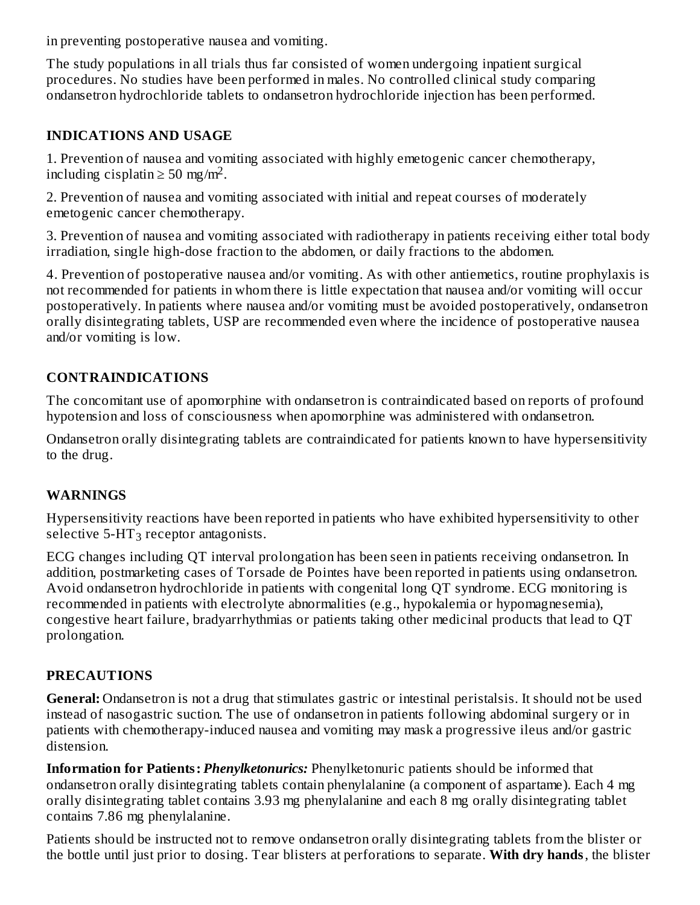in preventing postoperative nausea and vomiting.

The study populations in all trials thus far consisted of women undergoing inpatient surgical procedures. No studies have been performed in males. No controlled clinical study comparing ondansetron hydrochloride tablets to ondansetron hydrochloride injection has been performed.

### **INDICATIONS AND USAGE**

1. Prevention of nausea and vomiting associated with highly emetogenic cancer chemotherapy, including cisplatin  $\geq 50$  mg/m<sup>2</sup>.

2. Prevention of nausea and vomiting associated with initial and repeat courses of moderately emetogenic cancer chemotherapy.

3. Prevention of nausea and vomiting associated with radiotherapy in patients receiving either total body irradiation, single high-dose fraction to the abdomen, or daily fractions to the abdomen.

4. Prevention of postoperative nausea and/or vomiting. As with other antiemetics, routine prophylaxis is not recommended for patients in whom there is little expectation that nausea and/or vomiting will occur postoperatively. In patients where nausea and/or vomiting must be avoided postoperatively, ondansetron orally disintegrating tablets, USP are recommended even where the incidence of postoperative nausea and/or vomiting is low.

## **CONTRAINDICATIONS**

The concomitant use of apomorphine with ondansetron is contraindicated based on reports of profound hypotension and loss of consciousness when apomorphine was administered with ondansetron.

Ondansetron orally disintegrating tablets are contraindicated for patients known to have hypersensitivity to the drug.

## **WARNINGS**

Hypersensitivity reactions have been reported in patients who have exhibited hypersensitivity to other selective 5-HT $_3$  receptor antagonists.

ECG changes including QT interval prolongation has been seen in patients receiving ondansetron. In addition, postmarketing cases of Torsade de Pointes have been reported in patients using ondansetron. Avoid ondansetron hydrochloride in patients with congenital long QT syndrome. ECG monitoring is recommended in patients with electrolyte abnormalities (e.g., hypokalemia or hypomagnesemia), congestive heart failure, bradyarrhythmias or patients taking other medicinal products that lead to QT prolongation.

## **PRECAUTIONS**

**General:** Ondansetron is not a drug that stimulates gastric or intestinal peristalsis. It should not be used instead of nasogastric suction. The use of ondansetron in patients following abdominal surgery or in patients with chemotherapy-induced nausea and vomiting may mask a progressive ileus and/or gastric distension.

**Information for Patients:** *Phenylketonurics:* Phenylketonuric patients should be informed that ondansetron orally disintegrating tablets contain phenylalanine (a component of aspartame). Each 4 mg orally disintegrating tablet contains 3.93 mg phenylalanine and each 8 mg orally disintegrating tablet contains 7.86 mg phenylalanine.

Patients should be instructed not to remove ondansetron orally disintegrating tablets from the blister or the bottle until just prior to dosing. Tear blisters at perforations to separate. **With dry hands**, the blister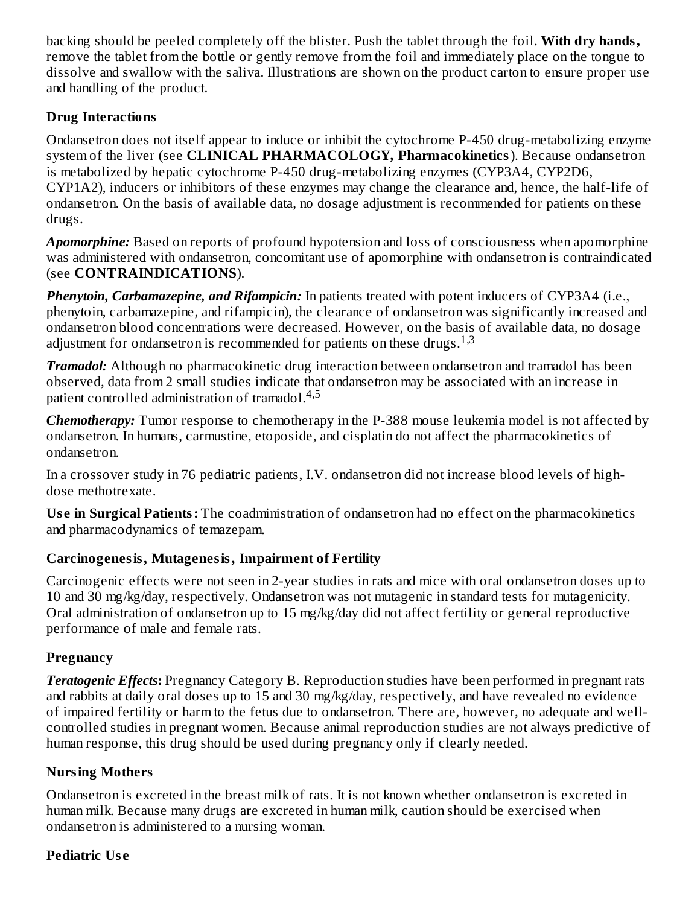backing should be peeled completely off the blister. Push the tablet through the foil. **With dry hands,** remove the tablet from the bottle or gently remove from the foil and immediately place on the tongue to dissolve and swallow with the saliva. Illustrations are shown on the product carton to ensure proper use and handling of the product.

## **Drug Interactions**

Ondansetron does not itself appear to induce or inhibit the cytochrome P-450 drug-metabolizing enzyme system of the liver (see **CLINICAL PHARMACOLOGY, Pharmacokinetics**). Because ondansetron is metabolized by hepatic cytochrome P-450 drug-metabolizing enzymes (CYP3A4, CYP2D6, CYP1A2), inducers or inhibitors of these enzymes may change the clearance and, hence, the half-life of ondansetron. On the basis of available data, no dosage adjustment is recommended for patients on these drugs.

*Apomorphine:* Based on reports of profound hypotension and loss of consciousness when apomorphine was administered with ondansetron, concomitant use of apomorphine with ondansetron is contraindicated (see **CONTRAINDICATIONS**).

*Phenytoin, Carbamazepine, and Rifampicin:* In patients treated with potent inducers of CYP3A4 (i.e., phenytoin, carbamazepine, and rifampicin), the clearance of ondansetron was significantly increased and ondansetron blood concentrations were decreased. However, on the basis of available data, no dosage adjustment for ondansetron is recommended for patients on these drugs. $^{1,3}$ 

*Tramadol:* Although no pharmacokinetic drug interaction between ondansetron and tramadol has been observed, data from 2 small studies indicate that ondansetron may be associated with an increase in patient controlled administration of tramadol.<sup>4,5</sup>

*Chemotherapy:* Tumor response to chemotherapy in the P-388 mouse leukemia model is not affected by ondansetron. In humans, carmustine, etoposide, and cisplatin do not affect the pharmacokinetics of ondansetron.

In a crossover study in 76 pediatric patients, I.V. ondansetron did not increase blood levels of highdose methotrexate.

**Us e in Surgical Patients:** The coadministration of ondansetron had no effect on the pharmacokinetics and pharmacodynamics of temazepam.

# **Carcinogenesis, Mutagenesis, Impairment of Fertility**

Carcinogenic effects were not seen in 2-year studies in rats and mice with oral ondansetron doses up to 10 and 30 mg/kg/day, respectively. Ondansetron was not mutagenic in standard tests for mutagenicity. Oral administration of ondansetron up to 15 mg/kg/day did not affect fertility or general reproductive performance of male and female rats.

# **Pregnancy**

*Teratogenic Effects***:** Pregnancy Category B. Reproduction studies have been performed in pregnant rats and rabbits at daily oral doses up to 15 and 30 mg/kg/day, respectively, and have revealed no evidence of impaired fertility or harm to the fetus due to ondansetron. There are, however, no adequate and wellcontrolled studies in pregnant women. Because animal reproduction studies are not always predictive of human response, this drug should be used during pregnancy only if clearly needed.

# **Nursing Mothers**

Ondansetron is excreted in the breast milk of rats. It is not known whether ondansetron is excreted in human milk. Because many drugs are excreted in human milk, caution should be exercised when ondansetron is administered to a nursing woman.

## **Pediatric Us e**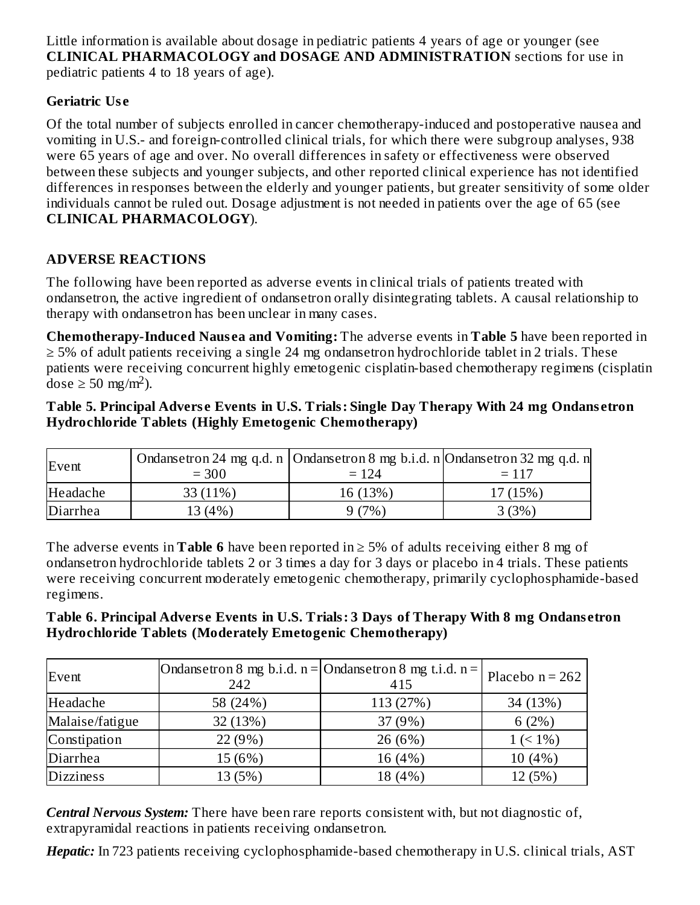Little information is available about dosage in pediatric patients 4 years of age or younger (see **CLINICAL PHARMACOLOGY and DOSAGE AND ADMINISTRATION** sections for use in pediatric patients 4 to 18 years of age).

### **Geriatric Us e**

Of the total number of subjects enrolled in cancer chemotherapy-induced and postoperative nausea and vomiting in U.S.- and foreign-controlled clinical trials, for which there were subgroup analyses, 938 were 65 years of age and over. No overall differences in safety or effectiveness were observed between these subjects and younger subjects, and other reported clinical experience has not identified differences in responses between the elderly and younger patients, but greater sensitivity of some older individuals cannot be ruled out. Dosage adjustment is not needed in patients over the age of 65 (see **CLINICAL PHARMACOLOGY**).

## **ADVERSE REACTIONS**

The following have been reported as adverse events in clinical trials of patients treated with ondansetron, the active ingredient of ondansetron orally disintegrating tablets. A causal relationship to therapy with ondansetron has been unclear in many cases.

**Chemotherapy-Induced Naus ea and Vomiting:** The adverse events in **Table 5** have been reported in ≥ 5% of adult patients receiving a single 24 mg ondansetron hydrochloride tablet in 2 trials. These patients were receiving concurrent highly emetogenic cisplatin-based chemotherapy regimens (cisplatin dose  $\geq 50$  mg/m<sup>2</sup>).

#### **Table 5. Principal Advers e Events in U.S. Trials: Single Day Therapy With 24 mg Ondans etron Hydrochloride Tablets (Highly Emetogenic Chemotherapy)**

| Event    | Ondansetron 24 mg q.d. n   Ondansetron 8 mg b.i.d. n   Ondansetron 32 mg q.d. n<br>$= 300$ | $= 124$  | $= 117$  |
|----------|--------------------------------------------------------------------------------------------|----------|----------|
| Headache | 33 (11%)                                                                                   | 16 (13%) | 17 (15%) |
| Diarrhea | 13 (4%)                                                                                    | 9(7%)    | 3(3%)    |

The adverse events in **Table 6** have been reported in ≥ 5% of adults receiving either 8 mg of ondansetron hydrochloride tablets 2 or 3 times a day for 3 days or placebo in 4 trials. These patients were receiving concurrent moderately emetogenic chemotherapy, primarily cyclophosphamide-based regimens.

#### **Table 6. Principal Advers e Events in U.S. Trials: 3 Days of Therapy With 8 mg Ondans etron Hydrochloride Tablets (Moderately Emetogenic Chemotherapy)**

| Event            | Ondansetron 8 mg b.i.d. $n =$ Ondansetron 8 mg t.i.d. $n =$<br>242 | 415       | Placebo $n = 262$ |
|------------------|--------------------------------------------------------------------|-----------|-------------------|
| Headache         | 58 (24%)                                                           | 113 (27%) | 34 (13%)          |
| Malaise/fatigue  | 32 (13%)                                                           | 37 (9%)   | 6(2%)             |
| Constipation     | 22 (9%)                                                            | 26 (6%)   | $1 (< 1\%)$       |
| Diarrhea         | 15 (6%)                                                            | 16 (4%)   | 10 (4%)           |
| <b>Dizziness</b> | 13 (5%)                                                            | 18 (4%)   | 12 (5%)           |

*Central Nervous System:* There have been rare reports consistent with, but not diagnostic of, extrapyramidal reactions in patients receiving ondansetron.

*Hepatic:* In 723 patients receiving cyclophosphamide-based chemotherapy in U.S. clinical trials, AST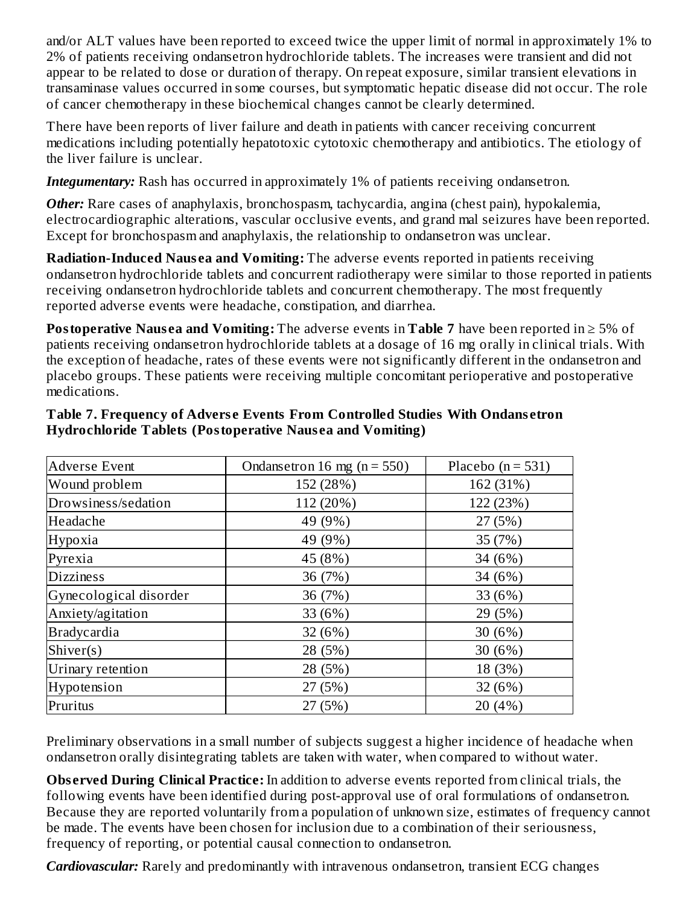and/or ALT values have been reported to exceed twice the upper limit of normal in approximately 1% to 2% of patients receiving ondansetron hydrochloride tablets. The increases were transient and did not appear to be related to dose or duration of therapy. On repeat exposure, similar transient elevations in transaminase values occurred in some courses, but symptomatic hepatic disease did not occur. The role of cancer chemotherapy in these biochemical changes cannot be clearly determined.

There have been reports of liver failure and death in patients with cancer receiving concurrent medications including potentially hepatotoxic cytotoxic chemotherapy and antibiotics. The etiology of the liver failure is unclear.

*Integumentary:* Rash has occurred in approximately 1% of patients receiving ondansetron.

*Other:* Rare cases of anaphylaxis, bronchospasm, tachycardia, angina (chest pain), hypokalemia, electrocardiographic alterations, vascular occlusive events, and grand mal seizures have been reported. Except for bronchospasm and anaphylaxis, the relationship to ondansetron was unclear.

**Radiation-Induced Nausea and Vomiting:** The adverse events reported in patients receiving ondansetron hydrochloride tablets and concurrent radiotherapy were similar to those reported in patients receiving ondansetron hydrochloride tablets and concurrent chemotherapy. The most frequently reported adverse events were headache, constipation, and diarrhea.

**Postoperative Nausea and Vomiting:** The adverse events in **Table** 7 have been reported in ≥ 5% of patients receiving ondansetron hydrochloride tablets at a dosage of 16 mg orally in clinical trials. With the exception of headache, rates of these events were not significantly different in the ondansetron and placebo groups. These patients were receiving multiple concomitant perioperative and postoperative medications.

| <b>Adverse Event</b>   | Ondansetron 16 mg ( $n = 550$ ) | Placebo ( $n = 531$ ) |
|------------------------|---------------------------------|-----------------------|
| Wound problem          | 152 (28%)                       | 162 (31%)             |
| Drowsiness/sedation    | 112 (20%)                       | 122 (23%)             |
| Headache               | 49 (9%)                         | 27(5%)                |
| Hypoxia                | 49 (9%)                         | 35 (7%)               |
| Pyrexia                | 45 (8%)                         | 34 (6%)               |
| <b>Dizziness</b>       | 36 (7%)                         | 34 $(6%)$             |
| Gynecological disorder | 36 (7%)                         | 33 (6%)               |
| Anxiety/agitation      | 33 (6%)                         | 29 (5%)               |
| <b>Bradycardia</b>     | 32(6%)                          | 30 (6%)               |
| Shiver(s)              | 28 (5%)                         | 30 $(6%)$             |
| Urinary retention      | 28 (5%)                         | 18 (3%)               |
| Hypotension            | 27(5%)                          | 32 (6%)               |
| Pruritus               | 27(5%)                          | 20 (4%)               |

#### **Table 7. Frequency of Advers e Events From Controlled Studies With Ondans etron Hydrochloride Tablets (Postoperative Naus ea and Vomiting)**

Preliminary observations in a small number of subjects suggest a higher incidence of headache when ondansetron orally disintegrating tablets are taken with water, when compared to without water.

**Obs erved During Clinical Practice:** In addition to adverse events reported from clinical trials, the following events have been identified during post-approval use of oral formulations of ondansetron. Because they are reported voluntarily from a population of unknown size, estimates of frequency cannot be made. The events have been chosen for inclusion due to a combination of their seriousness, frequency of reporting, or potential causal connection to ondansetron.

*Cardiovascular:* Rarely and predominantly with intravenous ondansetron, transient ECG changes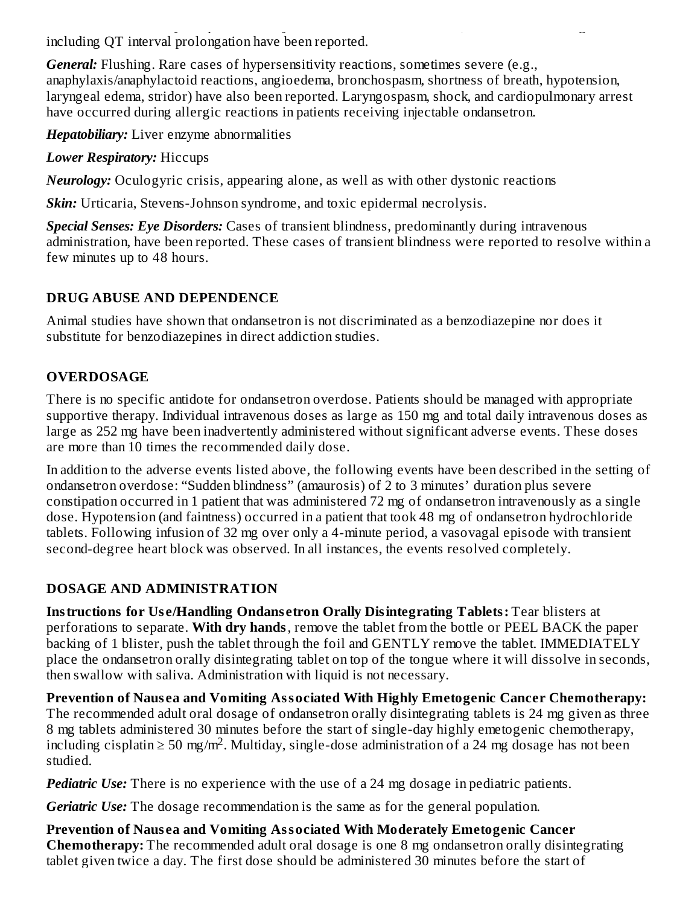*Cardiovascular:* Rarely and predominantly with intravenous ondansetron, transient ECG changes including QT interval prolongation have been reported.

*General:* Flushing. Rare cases of hypersensitivity reactions, sometimes severe (e.g., anaphylaxis/anaphylactoid reactions, angioedema, bronchospasm, shortness of breath, hypotension, laryngeal edema, stridor) have also been reported. Laryngospasm, shock, and cardiopulmonary arrest have occurred during allergic reactions in patients receiving injectable ondansetron.

*Hepatobiliary:* Liver enzyme abnormalities

*Lower Respiratory:* Hiccups

*Neurology:* Oculogyric crisis, appearing alone, as well as with other dystonic reactions

*Skin:* Urticaria, Stevens-Johnson syndrome, and toxic epidermal necrolysis.

*Special Senses: Eye Disorders:* Cases of transient blindness, predominantly during intravenous administration, have been reported. These cases of transient blindness were reported to resolve within a few minutes up to 48 hours.

## **DRUG ABUSE AND DEPENDENCE**

Animal studies have shown that ondansetron is not discriminated as a benzodiazepine nor does it substitute for benzodiazepines in direct addiction studies.

# **OVERDOSAGE**

There is no specific antidote for ondansetron overdose. Patients should be managed with appropriate supportive therapy. Individual intravenous doses as large as 150 mg and total daily intravenous doses as large as 252 mg have been inadvertently administered without significant adverse events. These doses are more than 10 times the recommended daily dose.

In addition to the adverse events listed above, the following events have been described in the setting of ondansetron overdose: "Sudden blindness" (amaurosis) of 2 to 3 minutes' duration plus severe constipation occurred in 1 patient that was administered 72 mg of ondansetron intravenously as a single dose. Hypotension (and faintness) occurred in a patient that took 48 mg of ondansetron hydrochloride tablets. Following infusion of 32 mg over only a 4-minute period, a vasovagal episode with transient second-degree heart block was observed. In all instances, the events resolved completely.

## **DOSAGE AND ADMINISTRATION**

**Instructions for Us e/Handling Ondans etron Orally Disintegrating Tablets:** Tear blisters at perforations to separate. **With dry hands**, remove the tablet from the bottle or PEEL BACK the paper backing of 1 blister, push the tablet through the foil and GENTLY remove the tablet. IMMEDIATELY place the ondansetron orally disintegrating tablet on top of the tongue where it will dissolve in seconds, then swallow with saliva. Administration with liquid is not necessary.

**Prevention of Naus ea and Vomiting Associated With Highly Emetogenic Cancer Chemotherapy:** The recommended adult oral dosage of ondansetron orally disintegrating tablets is 24 mg given as three 8 mg tablets administered 30 minutes before the start of single-day highly emetogenic chemotherapy, including cisplatin  $\geq 50$  mg/m<sup>2</sup>. Multiday, single-dose administration of a 24 mg dosage has not been studied.

**Pediatric Use:** There is no experience with the use of a 24 mg dosage in pediatric patients.

*Geriatric Use:* The dosage recommendation is the same as for the general population.

**Prevention of Naus ea and Vomiting Associated With Moderately Emetogenic Cancer Chemotherapy:** The recommended adult oral dosage is one 8 mg ondansetron orally disintegrating tablet given twice a day. The first dose should be administered 30 minutes before the start of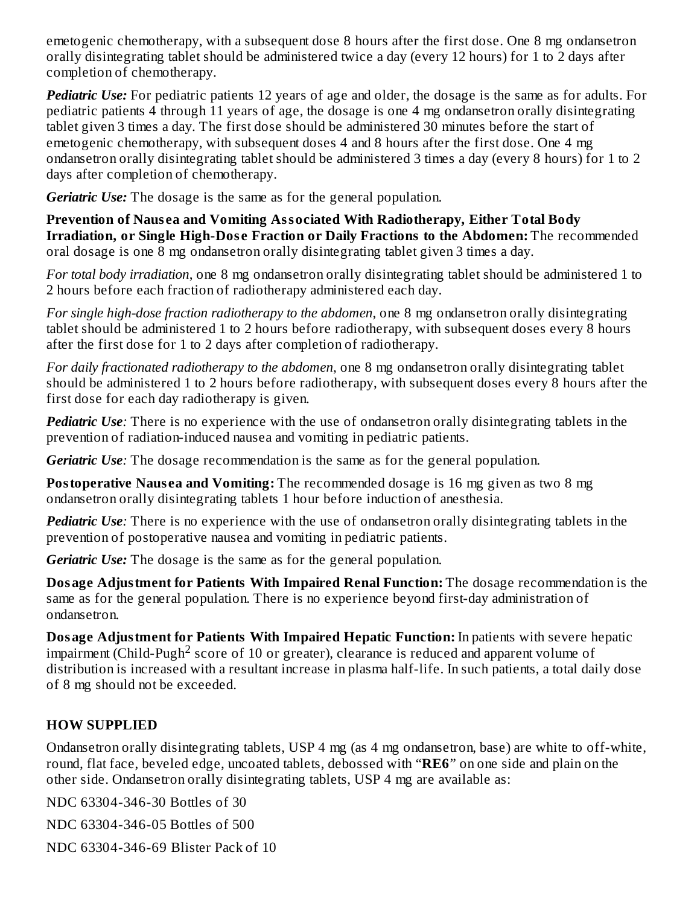emetogenic chemotherapy, with a subsequent dose 8 hours after the first dose. One 8 mg ondansetron orally disintegrating tablet should be administered twice a day (every 12 hours) for 1 to 2 days after completion of chemotherapy.

*Pediatric Use:* For pediatric patients 12 years of age and older, the dosage is the same as for adults. For pediatric patients 4 through 11 years of age, the dosage is one 4 mg ondansetron orally disintegrating tablet given 3 times a day. The first dose should be administered 30 minutes before the start of emetogenic chemotherapy, with subsequent doses 4 and 8 hours after the first dose. One 4 mg ondansetron orally disintegrating tablet should be administered 3 times a day (every 8 hours) for 1 to 2 days after completion of chemotherapy.

*Geriatric Use:* The dosage is the same as for the general population.

**Prevention of Naus ea and Vomiting Associated With Radiotherapy, Either Total Body Irradiation, or Single High-Dos e Fraction or Daily Fractions to the Abdomen:** The recommended oral dosage is one 8 mg ondansetron orally disintegrating tablet given 3 times a day.

*For total body irradiation*, one 8 mg ondansetron orally disintegrating tablet should be administered 1 to 2 hours before each fraction of radiotherapy administered each day.

*For single high-dose fraction radiotherapy to the abdomen*, one 8 mg ondansetron orally disintegrating tablet should be administered 1 to 2 hours before radiotherapy, with subsequent doses every 8 hours after the first dose for 1 to 2 days after completion of radiotherapy.

*For daily fractionated radiotherapy to the abdomen*, one 8 mg ondansetron orally disintegrating tablet should be administered 1 to 2 hours before radiotherapy, with subsequent doses every 8 hours after the first dose for each day radiotherapy is given.

*Pediatric Use:* There is no experience with the use of ondansetron orally disintegrating tablets in the prevention of radiation-induced nausea and vomiting in pediatric patients.

*Geriatric Use:* The dosage recommendation is the same as for the general population.

**Postoperative Nausea and Vomiting:** The recommended dosage is 16 mg given as two 8 mg ondansetron orally disintegrating tablets 1 hour before induction of anesthesia.

*Pediatric Use:* There is no experience with the use of ondansetron orally disintegrating tablets in the prevention of postoperative nausea and vomiting in pediatric patients.

*Geriatric Use:* The dosage is the same as for the general population.

**Dosage Adjustment for Patients With Impaired Renal Function:** The dosage recommendation is the same as for the general population. There is no experience beyond first-day administration of ondansetron.

**Dosage Adjustment for Patients With Impaired Hepatic Function:** In patients with severe hepatic impairment (Child-Pugh<sup>2</sup> score of 10 or greater), clearance is reduced and apparent volume of distribution is increased with a resultant increase in plasma half-life. In such patients, a total daily dose of 8 mg should not be exceeded.

#### **HOW SUPPLIED**

Ondansetron orally disintegrating tablets, USP 4 mg (as 4 mg ondansetron, base) are white to off-white, round, flat face, beveled edge, uncoated tablets, debossed with "**RE6**" on one side and plain on the other side. Ondansetron orally disintegrating tablets, USP 4 mg are available as:

NDC 63304-346-30 Bottles of 30

NDC 63304-346-05 Bottles of 500

NDC 63304-346-69 Blister Pack of 10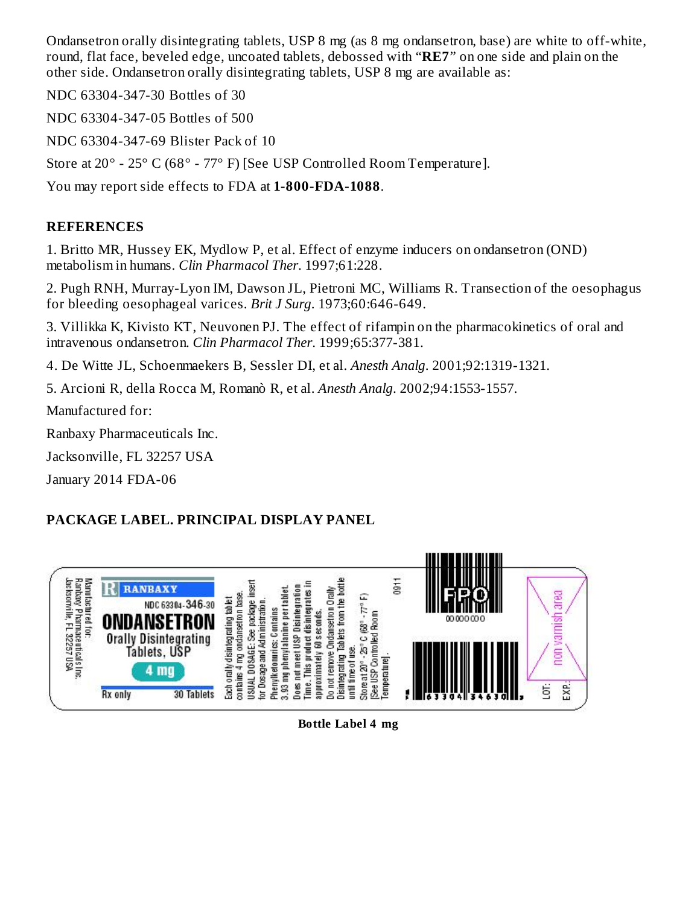Ondansetron orally disintegrating tablets, USP 8 mg (as 8 mg ondansetron, base) are white to off-white, round, flat face, beveled edge, uncoated tablets, debossed with "**RE7**" on one side and plain on the other side. Ondansetron orally disintegrating tablets, USP 8 mg are available as:

NDC 63304-347-30 Bottles of 30

NDC 63304-347-05 Bottles of 500

NDC 63304-347-69 Blister Pack of 10

Store at 20° - 25° C (68° - 77° F) [See USP Controlled Room Temperature].

You may report side effects to FDA at **1-800-FDA-1088**.

## **REFERENCES**

1. Britto MR, Hussey EK, Mydlow P, et al. Effect of enzyme inducers on ondansetron (OND) metabolism in humans. *Clin Pharmacol Ther*. 1997;61:228.

2. Pugh RNH, Murray-Lyon IM, Dawson JL, Pietroni MC, Williams R. Transection of the oesophagus for bleeding oesophageal varices. *Brit J Surg*. 1973;60:646-649.

3. Villikka K, Kivisto KT, Neuvonen PJ. The effect of rifampin on the pharmacokinetics of oral and intravenous ondansetron. *Clin Pharmacol Ther*. 1999;65:377-381.

4. De Witte JL, Schoenmaekers B, Sessler DI, et al. *Anesth Analg*. 2001;92:1319-1321.

5. Arcioni R, della Rocca M, Romanò R, et al. *Anesth Analg*. 2002;94:1553-1557.

Manufactured for:

Ranbaxy Pharmaceuticals Inc.

Jacksonville, FL 32257 USA

January 2014 FDA-06

# **PACKAGE LABEL. PRINCIPAL DISPLAY PANEL**



#### **Bottle Label 4 mg**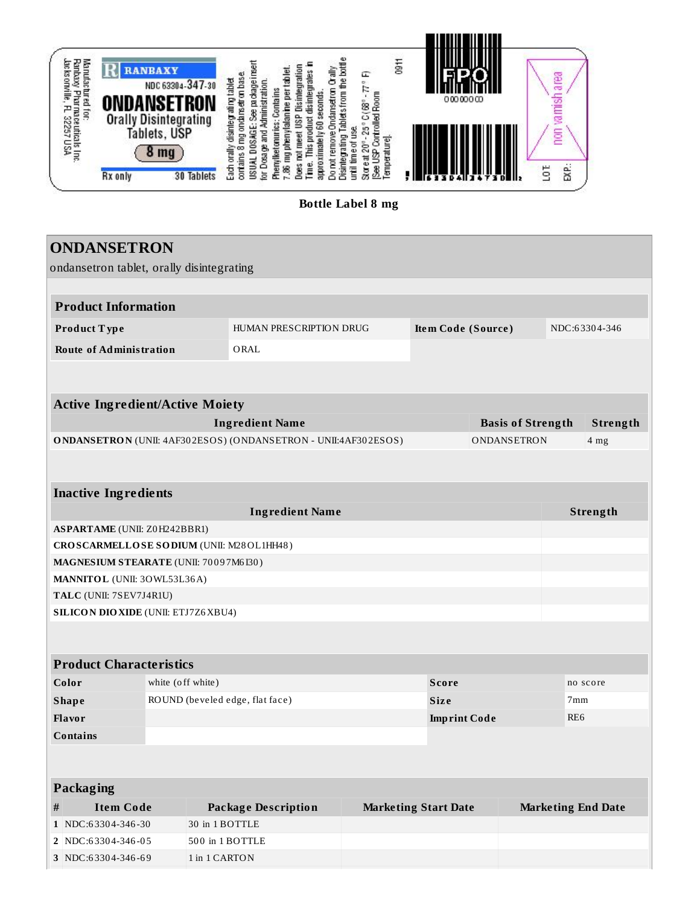

**Bottle Label 8 mg**

|      | <b>ONDANSETRON</b>                                    |                                 |                                                                |                                               |                             |                          |  |                           |
|------|-------------------------------------------------------|---------------------------------|----------------------------------------------------------------|-----------------------------------------------|-----------------------------|--------------------------|--|---------------------------|
|      | ondansetron tablet, orally disintegrating             |                                 |                                                                |                                               |                             |                          |  |                           |
|      |                                                       |                                 |                                                                |                                               |                             |                          |  |                           |
|      | <b>Product Information</b>                            |                                 |                                                                |                                               |                             |                          |  |                           |
|      | Product Type                                          |                                 |                                                                | HUMAN PRESCRIPTION DRUG<br>Item Code (Source) |                             |                          |  | NDC:63304-346             |
|      | <b>Route of Administration</b>                        |                                 | ORAL                                                           |                                               |                             |                          |  |                           |
|      |                                                       |                                 |                                                                |                                               |                             |                          |  |                           |
|      |                                                       |                                 |                                                                |                                               |                             |                          |  |                           |
|      | <b>Active Ingredient/Active Moiety</b>                |                                 |                                                                |                                               |                             |                          |  |                           |
|      |                                                       |                                 | <b>Ingredient Name</b>                                         |                                               |                             | <b>Basis of Strength</b> |  | Strength                  |
|      |                                                       |                                 | ONDANSETRON (UNII: 4AF302ESOS) (ONDANSETRON - UNII:4AF302ESOS) |                                               |                             | ONDANSETRON              |  | 4 mg                      |
|      |                                                       |                                 |                                                                |                                               |                             |                          |  |                           |
|      | <b>Inactive Ingredients</b>                           |                                 |                                                                |                                               |                             |                          |  |                           |
|      | <b>Ingredient Name</b><br>Strength                    |                                 |                                                                |                                               |                             |                          |  |                           |
|      | <b>ASPARTAME</b> (UNII: Z0H242BBR1)                   |                                 |                                                                |                                               |                             |                          |  |                           |
|      | CROSCARMELLOSE SODIUM (UNII: M28OL1HH48)              |                                 |                                                                |                                               |                             |                          |  |                           |
|      | MAGNESIUM STEARATE (UNII: 70097M6I30)                 |                                 |                                                                |                                               |                             |                          |  |                           |
|      | MANNITOL (UNII: 30WL53L36A)                           |                                 |                                                                |                                               |                             |                          |  |                           |
|      | TALC (UNII: 7SEV7J4R1U)                               |                                 |                                                                |                                               |                             |                          |  |                           |
|      | SILICON DIO XIDE (UNII: ETJ7Z6XBU4)                   |                                 |                                                                |                                               |                             |                          |  |                           |
|      |                                                       |                                 |                                                                |                                               |                             |                          |  |                           |
|      |                                                       |                                 |                                                                |                                               |                             |                          |  |                           |
|      | <b>Product Characteristics</b>                        |                                 |                                                                |                                               |                             |                          |  |                           |
|      | Color                                                 | white (off white)               |                                                                |                                               | <b>Score</b>                |                          |  | no score                  |
|      | <b>Shape</b>                                          | ROUND (beveled edge, flat face) |                                                                |                                               | <b>Size</b>                 | 7 <sub>mm</sub>          |  |                           |
|      | Flavor<br><b>Imprint Code</b>                         |                                 |                                                                | RE <sub>6</sub>                               |                             |                          |  |                           |
|      | <b>Contains</b>                                       |                                 |                                                                |                                               |                             |                          |  |                           |
|      |                                                       |                                 |                                                                |                                               |                             |                          |  |                           |
|      |                                                       |                                 |                                                                |                                               |                             |                          |  |                           |
|      | Packaging                                             |                                 |                                                                |                                               |                             |                          |  |                           |
| $\#$ | <b>Item Code</b>                                      |                                 | <b>Package Description</b>                                     |                                               | <b>Marketing Start Date</b> |                          |  | <b>Marketing End Date</b> |
|      | 1 NDC:63304-346-30                                    | 30 in 1 BOTTLE                  |                                                                |                                               |                             |                          |  |                           |
|      | 2 NDC:63304-346-05                                    |                                 | 500 in 1 BOTTLE                                                |                                               |                             |                          |  |                           |
|      | 3 NDC:63304-346-69<br>$1$ in $1\operatorname{CARTON}$ |                                 |                                                                |                                               |                             |                          |  |                           |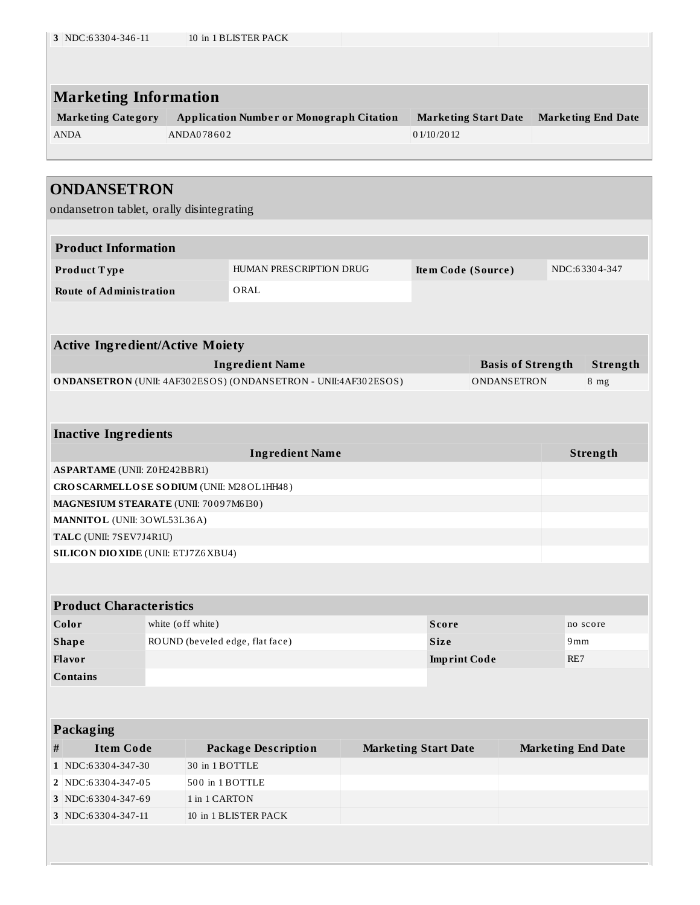| <b>Marketing Information</b>                                    |                                  |                                                                |  |                                           |                          |                           |                           |
|-----------------------------------------------------------------|----------------------------------|----------------------------------------------------------------|--|-------------------------------------------|--------------------------|---------------------------|---------------------------|
| <b>Marketing Category</b><br><b>ANDA</b>                        | ANDA078602                       | <b>Application Number or Monograph Citation</b>                |  | <b>Marketing Start Date</b><br>01/10/2012 |                          |                           | <b>Marketing End Date</b> |
| <b>ONDANSETRON</b><br>ondansetron tablet, orally disintegrating |                                  |                                                                |  |                                           |                          |                           |                           |
| <b>Product Information</b>                                      |                                  |                                                                |  |                                           |                          |                           |                           |
| Product Type                                                    | HUMAN PRESCRIPTION DRUG          | Item Code (Source)                                             |  |                                           | NDC:63304-347            |                           |                           |
| <b>Route of Administration</b>                                  |                                  | ORAL                                                           |  |                                           |                          |                           |                           |
| <b>Active Ingredient/Active Moiety</b>                          |                                  |                                                                |  |                                           |                          |                           |                           |
|                                                                 |                                  | <b>Ingredient Name</b>                                         |  |                                           | <b>Basis of Strength</b> |                           | Strength                  |
|                                                                 |                                  | ONDANSETRON (UNII: 4AF302ESOS) (ONDANSETRON - UNII:4AF302ESOS) |  |                                           | ONDANSETRON              |                           | $8$ mg                    |
|                                                                 |                                  |                                                                |  |                                           |                          |                           |                           |
| <b>Inactive Ingredients</b>                                     |                                  |                                                                |  |                                           |                          |                           |                           |
| <b>ASPARTAME</b> (UNII: Z0H242BBR1)                             |                                  | <b>Ingredient Name</b>                                         |  |                                           |                          |                           | Strength                  |
| CROSCARMELLOSE SODIUM (UNII: M28OL1HH48)                        |                                  |                                                                |  |                                           |                          |                           |                           |
| MAGNESIUM STEARATE (UNII: 70097M6I30)                           |                                  |                                                                |  |                                           |                          |                           |                           |
| MANNITOL (UNII: 30WL53L36A)                                     |                                  |                                                                |  |                                           |                          |                           |                           |
| TALC (UNII: 7SEV7J4R1U)                                         |                                  |                                                                |  |                                           |                          |                           |                           |
| <b>SILICON DIO XIDE (UNII: ETJ7Z6 XBU4)</b>                     |                                  |                                                                |  |                                           |                          |                           |                           |
| <b>Product Characteristics</b>                                  |                                  |                                                                |  |                                           |                          |                           |                           |
| Color                                                           | white (off white)                |                                                                |  | <b>Score</b>                              |                          |                           | no score                  |
| <b>Shape</b>                                                    | ROUND (beveled edge, flat face)  |                                                                |  | <b>Size</b>                               |                          | 9mm                       |                           |
| Flavor                                                          |                                  |                                                                |  | <b>Imprint Code</b>                       |                          | RE7                       |                           |
| <b>Contains</b>                                                 |                                  |                                                                |  |                                           |                          |                           |                           |
| Packaging                                                       |                                  |                                                                |  |                                           |                          |                           |                           |
| <b>Item Code</b><br>$\#$                                        |                                  | <b>Package Description</b>                                     |  | <b>Marketing Start Date</b>               |                          | <b>Marketing End Date</b> |                           |
|                                                                 | 30 in 1 BOTTLE                   |                                                                |  |                                           |                          |                           |                           |
|                                                                 |                                  |                                                                |  |                                           |                          |                           |                           |
| 1 NDC:63304-347-30<br>2 NDC:63304-347-05<br>3 NDC:63304-347-69  | 500 in 1 BOTTLE<br>1 in 1 CARTON |                                                                |  |                                           |                          |                           |                           |